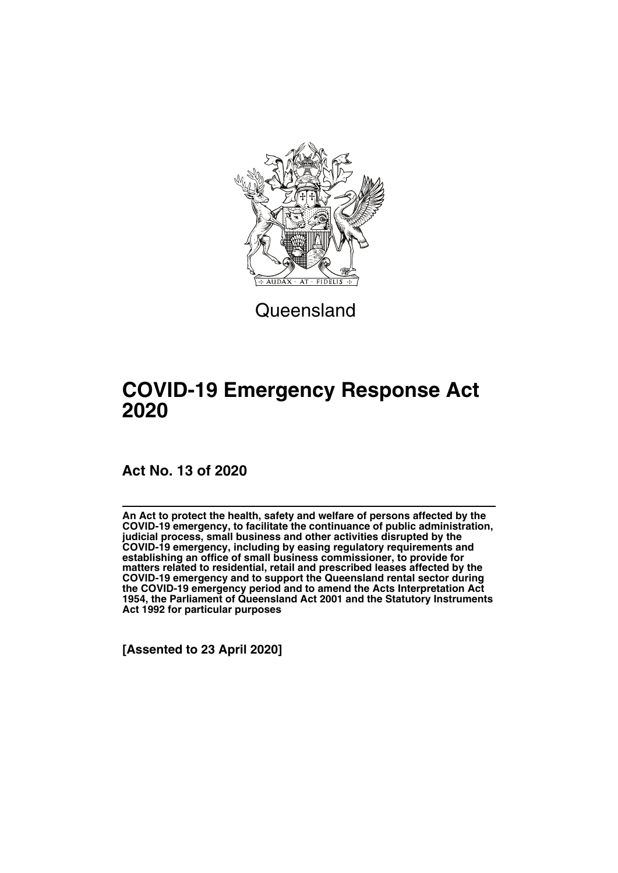

**Queensland** 

## **COVID-19 Emergency Response Act 2020**

## **Act No. 13 of 2020**

**An Act to protect the health, safety and welfare of persons affected by the COVID-19 emergency, to facilitate the continuance of public administration, judicial process, small business and other activities disrupted by the COVID-19 emergency, including by easing regulatory requirements and establishing an office of small business commissioner, to provide for matters related to residential, retail and prescribed leases affected by the COVID-19 emergency and to support the Queensland rental sector during the COVID-19 emergency period and to amend the Acts Interpretation Act 1954, the Parliament of Queensland Act 2001 and the Statutory Instruments Act 1992 for particular purposes**

**[Assented to 23 April 2020]**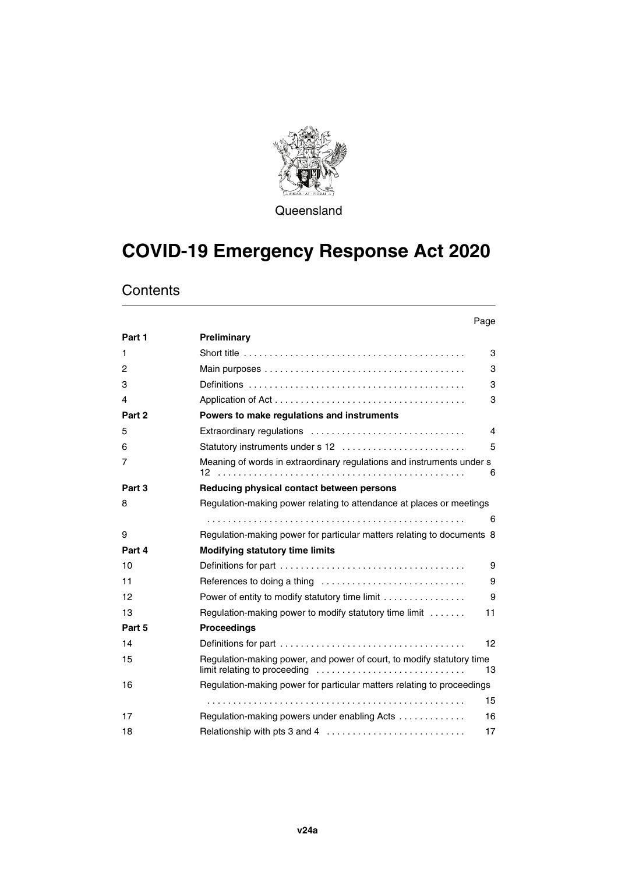

**Queensland** 

# **COVID-19 Emergency Response Act 2020**

## **Contents**

|        | Page                                                                                                        |
|--------|-------------------------------------------------------------------------------------------------------------|
| Part 1 | Preliminary                                                                                                 |
| 1      | 3                                                                                                           |
| 2      | 3                                                                                                           |
| 3      | 3                                                                                                           |
| 4      | 3                                                                                                           |
| Part 2 | Powers to make regulations and instruments                                                                  |
| 5      | Extraordinary regulations<br>4                                                                              |
| 6      | 5<br>Statutory instruments under s 12                                                                       |
| 7      | Meaning of words in extraordinary regulations and instruments under s<br>6                                  |
| Part 3 | Reducing physical contact between persons                                                                   |
| 8      | Regulation-making power relating to attendance at places or meetings                                        |
|        | 6                                                                                                           |
| 9      | Regulation-making power for particular matters relating to documents 8                                      |
| Part 4 | <b>Modifying statutory time limits</b>                                                                      |
| 10     | 9                                                                                                           |
| 11     | 9                                                                                                           |
| 12     | Power of entity to modify statutory time limit<br>9                                                         |
| 13     | Regulation-making power to modify statutory time limit<br>11                                                |
| Part 5 | <b>Proceedings</b>                                                                                          |
| 14     | 12                                                                                                          |
| 15     | Regulation-making power, and power of court, to modify statutory time<br>limit relating to proceeding<br>13 |
| 16     | Regulation-making power for particular matters relating to proceedings                                      |
|        | 15                                                                                                          |
| 17     | Regulation-making powers under enabling Acts<br>16                                                          |
| 18     | Relationship with pts 3 and 4<br>17                                                                         |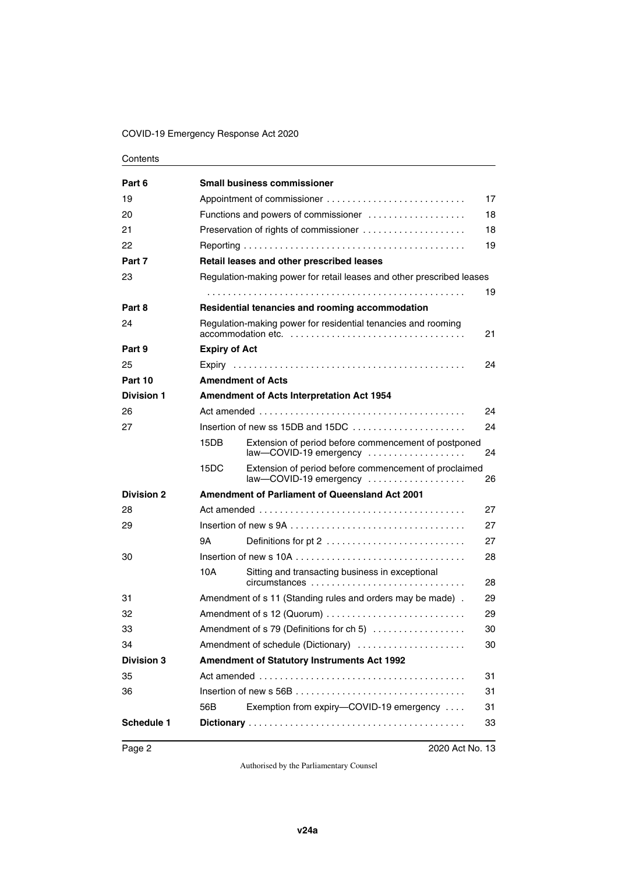#### COVID-19 Emergency Response Act 2020

#### **Contents**

| Part 6            |                                                    | <b>Small business commissioner</b>                                                                                        |    |  |
|-------------------|----------------------------------------------------|---------------------------------------------------------------------------------------------------------------------------|----|--|
| 19                | 17                                                 |                                                                                                                           |    |  |
| 20                |                                                    | Functions and powers of commissioner                                                                                      | 18 |  |
| 21                |                                                    | Preservation of rights of commissioner                                                                                    | 18 |  |
| 22                |                                                    |                                                                                                                           | 19 |  |
| Part 7            |                                                    | Retail leases and other prescribed leases                                                                                 |    |  |
| 23                |                                                    | Regulation-making power for retail leases and other prescribed leases                                                     |    |  |
|                   |                                                    |                                                                                                                           | 19 |  |
| Part 8            |                                                    | Residential tenancies and rooming accommodation                                                                           |    |  |
| 24                |                                                    | Regulation-making power for residential tenancies and rooming                                                             | 21 |  |
| Part 9            | <b>Expiry of Act</b>                               |                                                                                                                           |    |  |
| 25                |                                                    |                                                                                                                           | 24 |  |
| Part 10           |                                                    | <b>Amendment of Acts</b>                                                                                                  |    |  |
| <b>Division 1</b> |                                                    | Amendment of Acts Interpretation Act 1954                                                                                 |    |  |
| 26                |                                                    |                                                                                                                           | 24 |  |
| 27                |                                                    | Insertion of new ss 15DB and 15DC $\ldots$ , $\ldots$ , $\ldots$                                                          | 24 |  |
|                   | 15DB                                               | Extension of period before commencement of postponed<br>law-COVID-19 emergency                                            | 24 |  |
|                   | 15DC                                               | Extension of period before commencement of proclaimed<br>$law$ - COVID-19 emergency $\dots\dots\dots\dots\dots\dots\dots$ | 26 |  |
| <b>Division 2</b> |                                                    | Amendment of Parliament of Queensland Act 2001                                                                            |    |  |
| 28                |                                                    |                                                                                                                           | 27 |  |
| 29                |                                                    | Insertion of new s 9A $\ldots$ , $\ldots$ , $\ldots$ , $\ldots$ , $\ldots$ , $\ldots$ , $\ldots$ , $\ldots$ , $\ldots$    | 27 |  |
|                   | 9Α                                                 | Definitions for pt 2                                                                                                      | 27 |  |
| 30                |                                                    |                                                                                                                           | 28 |  |
|                   | 10A                                                | Sitting and transacting business in exceptional                                                                           | 28 |  |
| 31                |                                                    | Amendment of s 11 (Standing rules and orders may be made).                                                                | 29 |  |
| 32                | Amendment of s 12 (Quorum)<br>29                   |                                                                                                                           |    |  |
| 33                |                                                    | Amendment of s 79 (Definitions for ch 5)                                                                                  | 30 |  |
| 34                |                                                    | Amendment of schedule (Dictionary)                                                                                        | 30 |  |
| <b>Division 3</b> | <b>Amendment of Statutory Instruments Act 1992</b> |                                                                                                                           |    |  |
| 35                |                                                    |                                                                                                                           | 31 |  |
| 36                |                                                    |                                                                                                                           | 31 |  |
|                   | 56B                                                | Exemption from expiry-COVID-19 emergency                                                                                  | 31 |  |
| <b>Schedule 1</b> |                                                    |                                                                                                                           | 33 |  |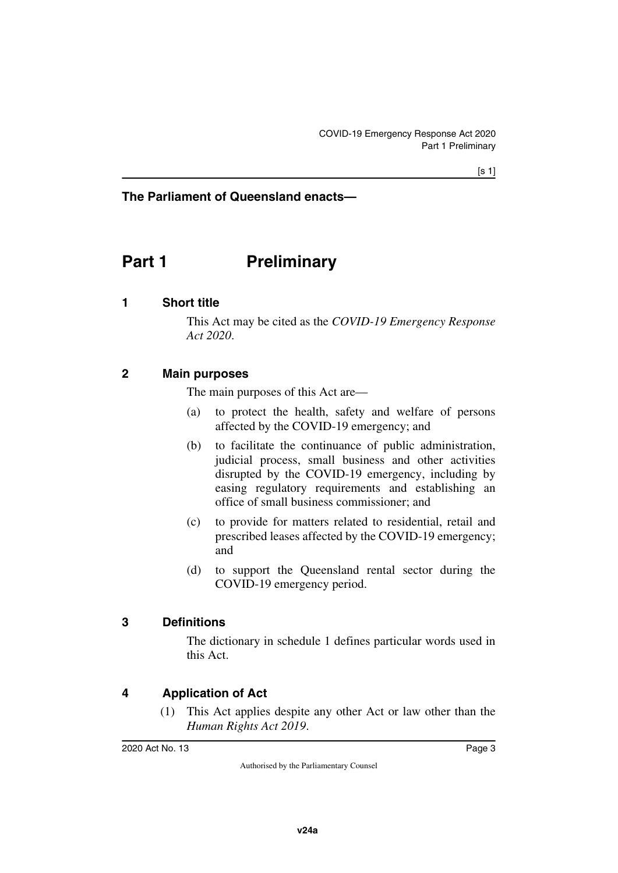## **The Parliament of Queensland enacts—**

## <span id="page-4-0"></span>**Part 1** Preliminary

#### <span id="page-4-2"></span>**1 Short title**

<span id="page-4-3"></span><span id="page-4-1"></span>This Act may be cited as the *COVID-19 Emergency Response Act 2020*.

#### <span id="page-4-4"></span>**2 Main purposes**

<span id="page-4-5"></span>The main purposes of this Act are—

- (a) to protect the health, safety and welfare of persons affected by the COVID-19 emergency; and
- (b) to facilitate the continuance of public administration, judicial process, small business and other activities disrupted by the COVID-19 emergency, including by easing regulatory requirements and establishing an office of small business commissioner; and
- (c) to provide for matters related to residential, retail and prescribed leases affected by the COVID-19 emergency; and
- (d) to support the Queensland rental sector during the COVID-19 emergency period.

#### <span id="page-4-6"></span>**3 Definitions**

<span id="page-4-7"></span>The dictionary in schedule 1 defines particular words used in this Act.

## <span id="page-4-8"></span>**4 Application of Act**

<span id="page-4-9"></span>(1) This Act applies despite any other Act or law other than the *Human Rights Act 2019*.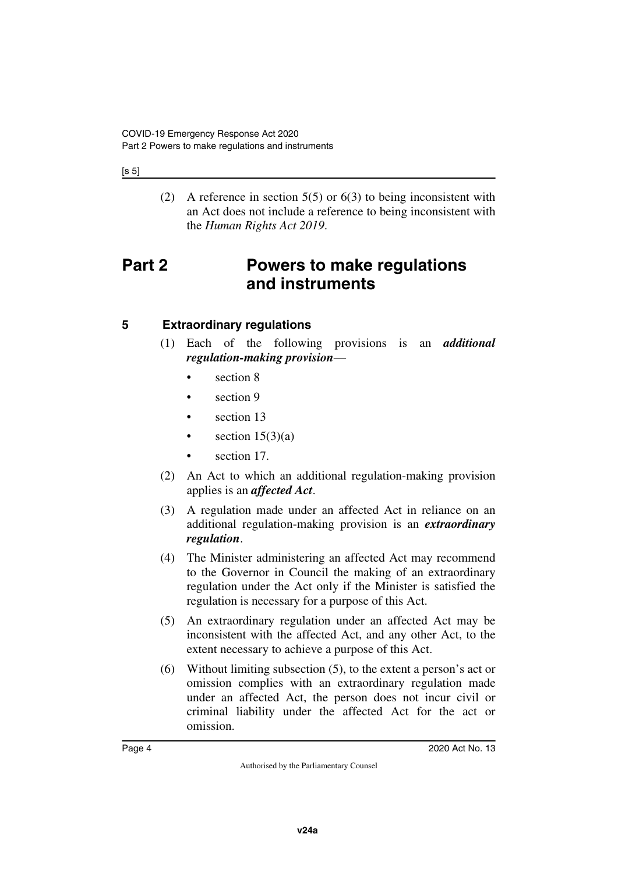#### [s 5]

<span id="page-5-1"></span>(2) A reference in section  $5(5)$  or  $6(3)$  to being inconsistent with an Act does not include a reference to being inconsistent with the *Human Rights Act 2019*.

## <span id="page-5-0"></span>**Part 2 Powers to make regulations and instruments**

## <span id="page-5-2"></span>**5 Extraordinary regulations**

- <span id="page-5-3"></span>(1) Each of the following provisions is an *additional regulation-making provision*
	- section 8
	- section 9
	- section 13
	- section  $15(3)(a)$
	- section 17.
- (2) An Act to which an additional regulation-making provision applies is an *affected Act*.
- (3) A regulation made under an affected Act in reliance on an additional regulation-making provision is an *extraordinary regulation*.
- (4) The Minister administering an affected Act may recommend to the Governor in Council the making of an extraordinary regulation under the Act only if the Minister is satisfied the regulation is necessary for a purpose of this Act.
- (5) An extraordinary regulation under an affected Act may be inconsistent with the affected Act, and any other Act, to the extent necessary to achieve a purpose of this Act.
- (6) Without limiting subsection (5), to the extent a person's act or omission complies with an extraordinary regulation made under an affected Act, the person does not incur civil or criminal liability under the affected Act for the act or omission.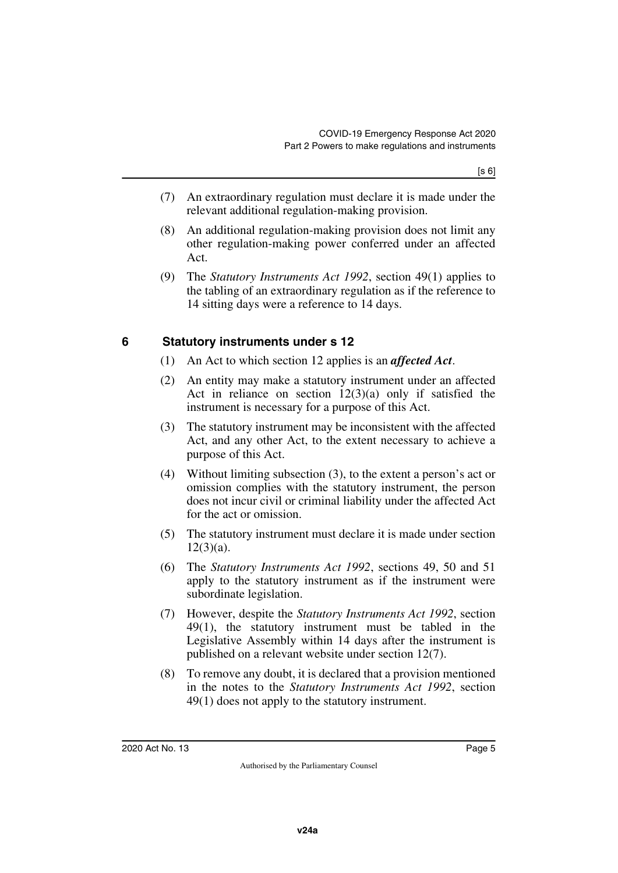- (7) An extraordinary regulation must declare it is made under the relevant additional regulation-making provision.
- (8) An additional regulation-making provision does not limit any other regulation-making power conferred under an affected Act.
- (9) The *Statutory Instruments Act 1992*, section 49(1) applies to the tabling of an extraordinary regulation as if the reference to 14 sitting days were a reference to 14 days.

## <span id="page-6-0"></span>**6 Statutory instruments under s 12**

- <span id="page-6-1"></span>(1) An Act to which section 12 applies is an *affected Act*.
- (2) An entity may make a statutory instrument under an affected Act in reliance on section  $12(3)(a)$  only if satisfied the instrument is necessary for a purpose of this Act.
- (3) The statutory instrument may be inconsistent with the affected Act, and any other Act, to the extent necessary to achieve a purpose of this Act.
- (4) Without limiting subsection (3), to the extent a person's act or omission complies with the statutory instrument, the person does not incur civil or criminal liability under the affected Act for the act or omission.
- (5) The statutory instrument must declare it is made under section  $12(3)(a)$ .
- (6) The *Statutory Instruments Act 1992*, sections 49, 50 and 51 apply to the statutory instrument as if the instrument were subordinate legislation.
- (7) However, despite the *Statutory Instruments Act 1992*, section 49(1), the statutory instrument must be tabled in the Legislative Assembly within 14 days after the instrument is published on a relevant website under section 12(7).
- (8) To remove any doubt, it is declared that a provision mentioned in the notes to the *Statutory Instruments Act 1992*, section 49(1) does not apply to the statutory instrument.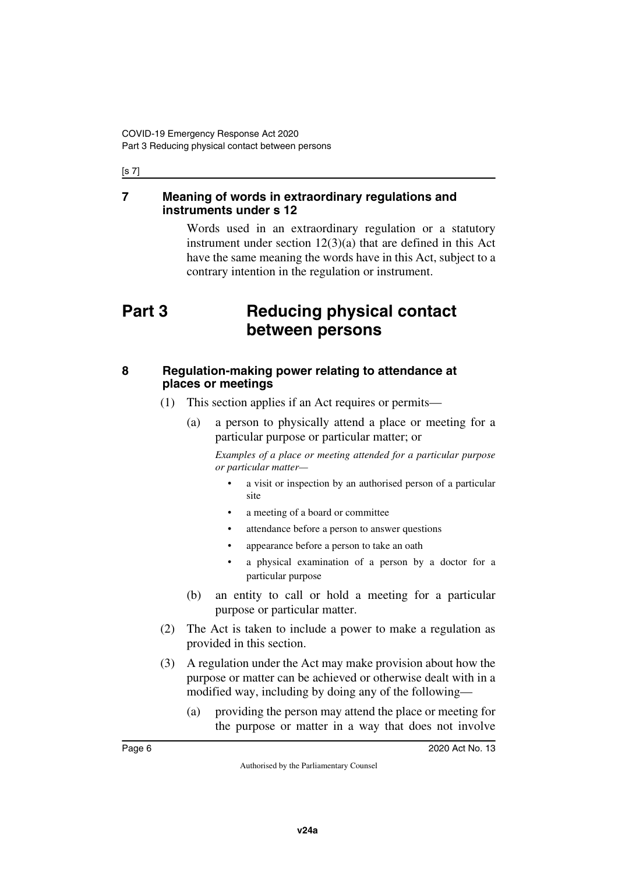#### [s 7]

#### <span id="page-7-1"></span><span id="page-7-0"></span>**7 Meaning of words in extraordinary regulations and instruments under s 12**

<span id="page-7-3"></span>Words used in an extraordinary regulation or a statutory instrument under section 12(3)(a) that are defined in this Act have the same meaning the words have in this Act, subject to a contrary intention in the regulation or instrument.

## <span id="page-7-2"></span>**Part 3 Reducing physical contact between persons**

### <span id="page-7-5"></span><span id="page-7-4"></span>**8 Regulation-making power relating to attendance at places or meetings**

- (1) This section applies if an Act requires or permits—
	- (a) a person to physically attend a place or meeting for a particular purpose or particular matter; or

*Examples of a place or meeting attended for a particular purpose or particular matter—*

- a visit or inspection by an authorised person of a particular site
- a meeting of a board or committee
- attendance before a person to answer questions
- appearance before a person to take an oath
- a physical examination of a person by a doctor for a particular purpose
- (b) an entity to call or hold a meeting for a particular purpose or particular matter.
- (2) The Act is taken to include a power to make a regulation as provided in this section.
- (3) A regulation under the Act may make provision about how the purpose or matter can be achieved or otherwise dealt with in a modified way, including by doing any of the following—
	- (a) providing the person may attend the place or meeting for the purpose or matter in a way that does not involve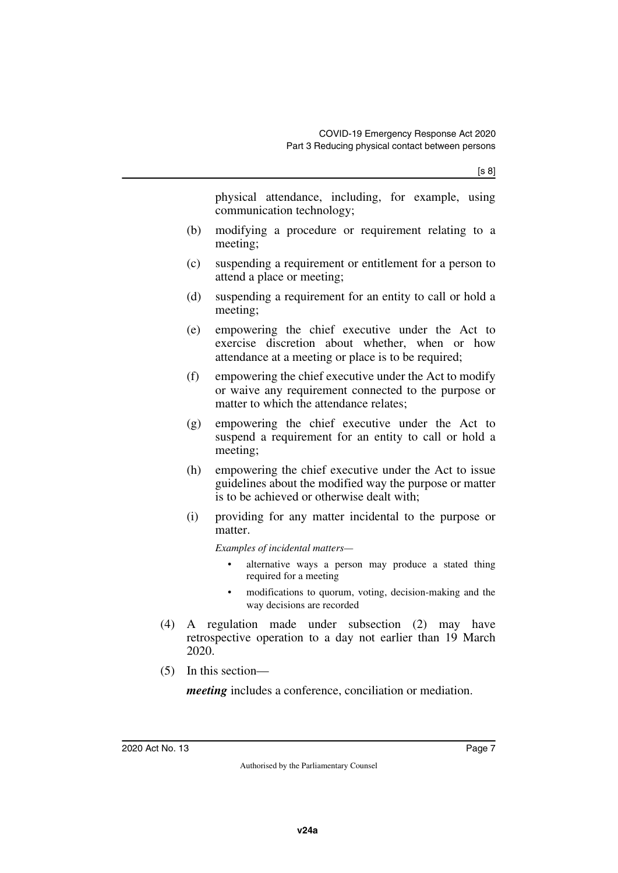physical attendance, including, for example, using communication technology;

- (b) modifying a procedure or requirement relating to a meeting;
- (c) suspending a requirement or entitlement for a person to attend a place or meeting;
- (d) suspending a requirement for an entity to call or hold a meeting;
- (e) empowering the chief executive under the Act to exercise discretion about whether, when or how attendance at a meeting or place is to be required;
- (f) empowering the chief executive under the Act to modify or waive any requirement connected to the purpose or matter to which the attendance relates;
- (g) empowering the chief executive under the Act to suspend a requirement for an entity to call or hold a meeting;
- (h) empowering the chief executive under the Act to issue guidelines about the modified way the purpose or matter is to be achieved or otherwise dealt with;
- (i) providing for any matter incidental to the purpose or matter.

*Examples of incidental matters—*

- alternative ways a person may produce a stated thing required for a meeting
- modifications to quorum, voting, decision-making and the way decisions are recorded
- (4) A regulation made under subsection (2) may have retrospective operation to a day not earlier than 19 March 2020.
- (5) In this section—

*meeting* includes a conference, conciliation or mediation.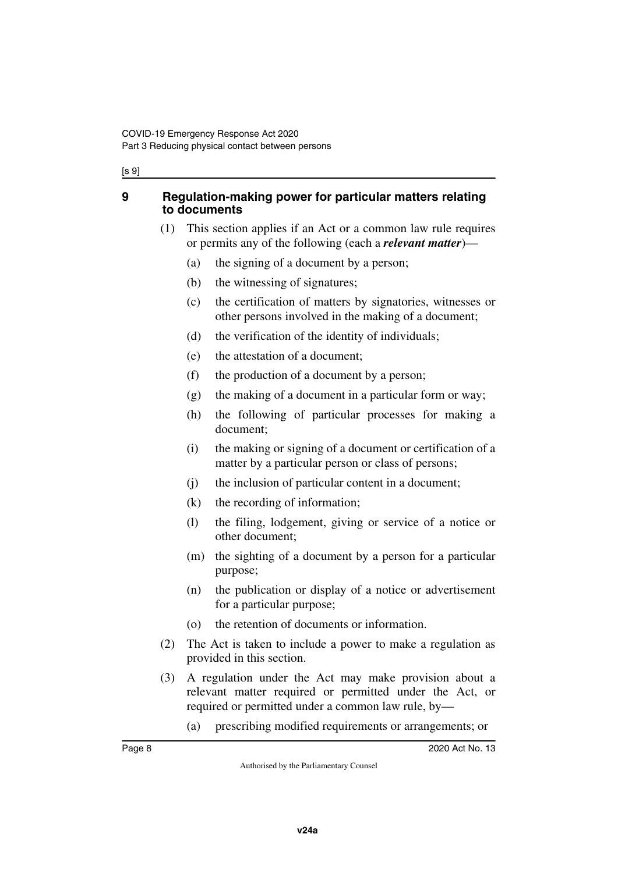#### [s 9]

#### <span id="page-9-1"></span><span id="page-9-0"></span>**9 Regulation-making power for particular matters relating to documents**

- (1) This section applies if an Act or a common law rule requires or permits any of the following (each a *relevant matter*)—
	- (a) the signing of a document by a person;
	- (b) the witnessing of signatures;
	- (c) the certification of matters by signatories, witnesses or other persons involved in the making of a document;
	- (d) the verification of the identity of individuals;
	- (e) the attestation of a document;
	- (f) the production of a document by a person;
	- (g) the making of a document in a particular form or way;
	- (h) the following of particular processes for making a document;
	- (i) the making or signing of a document or certification of a matter by a particular person or class of persons;
	- (j) the inclusion of particular content in a document;
	- (k) the recording of information;
	- (l) the filing, lodgement, giving or service of a notice or other document;
	- (m) the sighting of a document by a person for a particular purpose;
	- (n) the publication or display of a notice or advertisement for a particular purpose;
	- (o) the retention of documents or information.
- (2) The Act is taken to include a power to make a regulation as provided in this section.
- (3) A regulation under the Act may make provision about a relevant matter required or permitted under the Act, or required or permitted under a common law rule, by—
	- (a) prescribing modified requirements or arrangements; or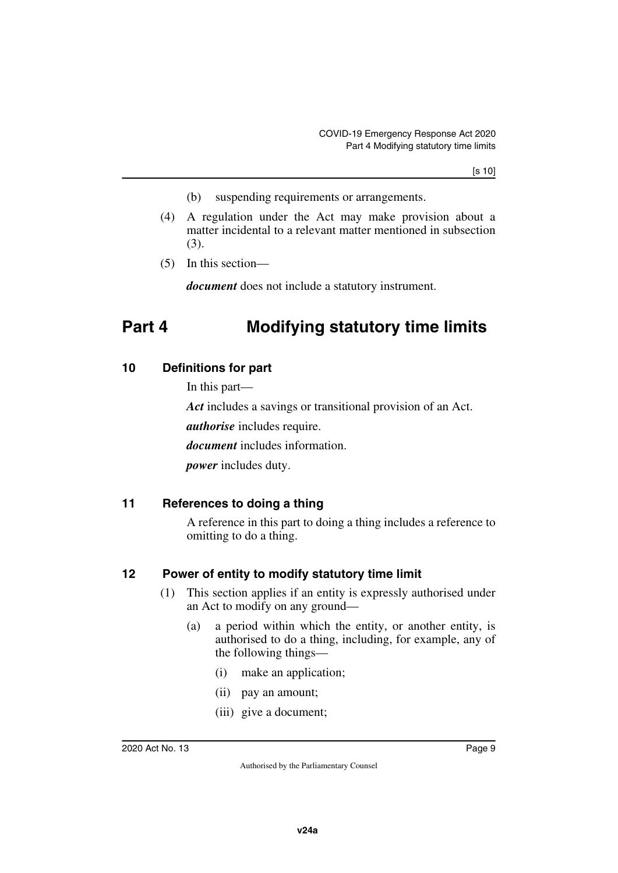- (b) suspending requirements or arrangements.
- (4) A regulation under the Act may make provision about a matter incidental to a relevant matter mentioned in subsection (3).
- (5) In this section—

<span id="page-10-1"></span>*document* does not include a statutory instrument.

## <span id="page-10-0"></span>**Part 4 Modifying statutory time limits**

## <span id="page-10-2"></span>**10 Definitions for part**

<span id="page-10-3"></span>In this part—

*Act* includes a savings or transitional provision of an Act.

*authorise* includes require.

*document* includes information.

<span id="page-10-5"></span>*power* includes duty.

## <span id="page-10-4"></span>**11 References to doing a thing**

A reference in this part to doing a thing includes a reference to omitting to do a thing.

## <span id="page-10-6"></span>**12 Power of entity to modify statutory time limit**

- <span id="page-10-7"></span>(1) This section applies if an entity is expressly authorised under an Act to modify on any ground—
	- (a) a period within which the entity, or another entity, is authorised to do a thing, including, for example, any of the following things—
		- (i) make an application;
		- (ii) pay an amount;
		- (iii) give a document;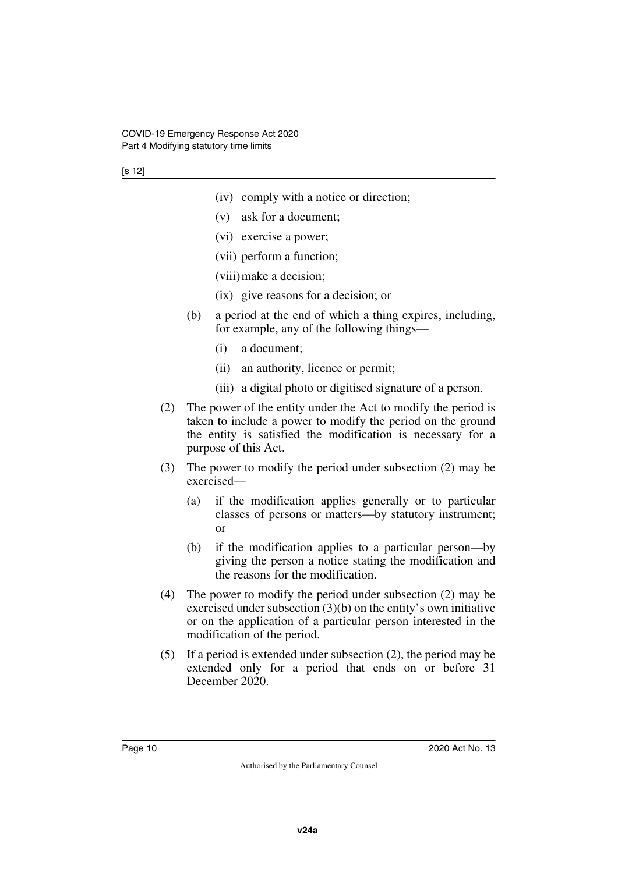- (iv) comply with a notice or direction;
- (v) ask for a document;
- (vi) exercise a power;
- (vii) perform a function;
- (viii)make a decision;
- (ix) give reasons for a decision; or
- (b) a period at the end of which a thing expires, including, for example, any of the following things—
	- (i) a document;
	- (ii) an authority, licence or permit;
	- (iii) a digital photo or digitised signature of a person.
- (2) The power of the entity under the Act to modify the period is taken to include a power to modify the period on the ground the entity is satisfied the modification is necessary for a purpose of this Act.
- (3) The power to modify the period under subsection (2) may be exercised—
	- (a) if the modification applies generally or to particular classes of persons or matters—by statutory instrument; or
	- (b) if the modification applies to a particular person—by giving the person a notice stating the modification and the reasons for the modification.
- (4) The power to modify the period under subsection (2) may be exercised under subsection  $(3)(b)$  on the entity's own initiative or on the application of a particular person interested in the modification of the period.
- (5) If a period is extended under subsection (2), the period may be extended only for a period that ends on or before 31 December 2020.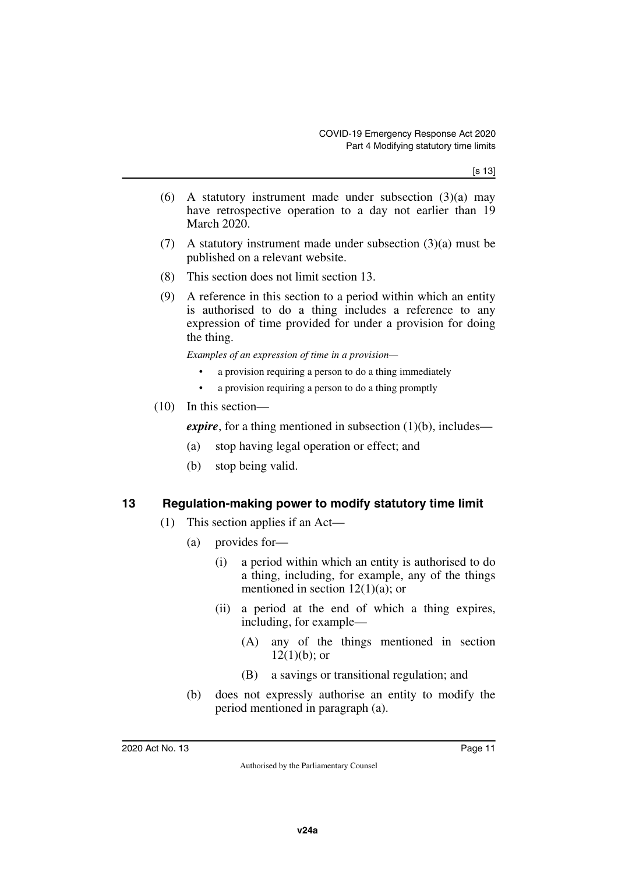[s 13]

- (6) A statutory instrument made under subsection (3)(a) may have retrospective operation to a day not earlier than 19 March 2020.
- (7) A statutory instrument made under subsection (3)(a) must be published on a relevant website.
- (8) This section does not limit section 13.
- (9) A reference in this section to a period within which an entity is authorised to do a thing includes a reference to any expression of time provided for under a provision for doing the thing.

*Examples of an expression of time in a provision—*

- a provision requiring a person to do a thing immediately
- a provision requiring a person to do a thing promptly
- (10) In this section—

*expire*, for a thing mentioned in subsection (1)(b), includes—

- (a) stop having legal operation or effect; and
- (b) stop being valid.

#### <span id="page-12-0"></span>**13 Regulation-making power to modify statutory time limit**

- <span id="page-12-1"></span>(1) This section applies if an Act—
	- (a) provides for—
		- (i) a period within which an entity is authorised to do a thing, including, for example, any of the things mentioned in section  $12(1)(a)$ ; or
		- (ii) a period at the end of which a thing expires, including, for example—
			- (A) any of the things mentioned in section  $12(1)(b)$ ; or
			- (B) a savings or transitional regulation; and
	- (b) does not expressly authorise an entity to modify the period mentioned in paragraph (a).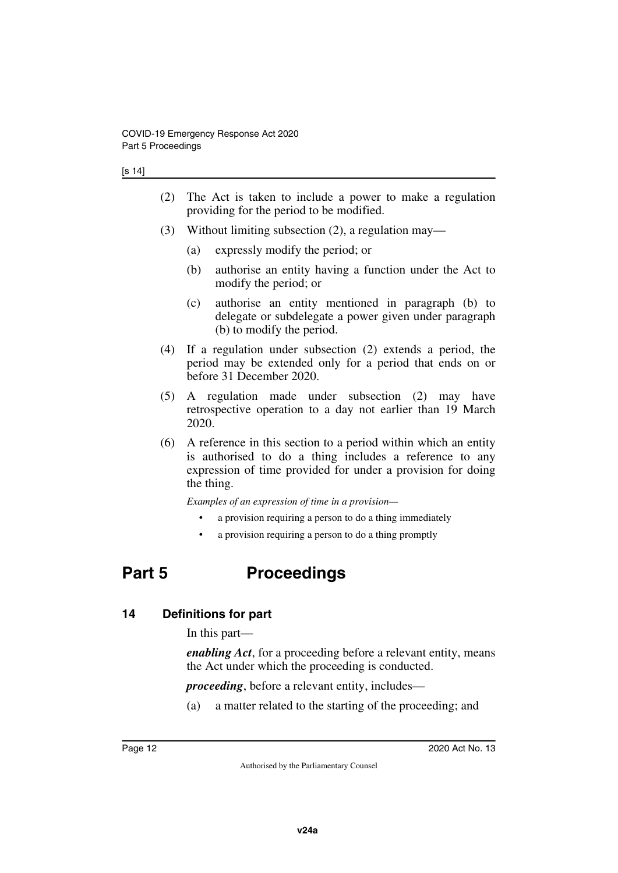- (2) The Act is taken to include a power to make a regulation providing for the period to be modified.
- (3) Without limiting subsection (2), a regulation may—
	- (a) expressly modify the period; or
	- (b) authorise an entity having a function under the Act to modify the period; or
	- (c) authorise an entity mentioned in paragraph (b) to delegate or subdelegate a power given under paragraph (b) to modify the period.
- (4) If a regulation under subsection (2) extends a period, the period may be extended only for a period that ends on or before 31 December 2020.
- (5) A regulation made under subsection (2) may have retrospective operation to a day not earlier than 19 March 2020.
- (6) A reference in this section to a period within which an entity is authorised to do a thing includes a reference to any expression of time provided for under a provision for doing the thing.

*Examples of an expression of time in a provision—*

- a provision requiring a person to do a thing immediately
- <span id="page-13-1"></span>• a provision requiring a person to do a thing promptly

## <span id="page-13-0"></span>**Part 5 Proceedings**

## <span id="page-13-2"></span>**14 Definitions for part**

<span id="page-13-3"></span>In this part—

*enabling Act*, for a proceeding before a relevant entity, means the Act under which the proceeding is conducted.

*proceeding*, before a relevant entity, includes—

(a) a matter related to the starting of the proceeding; and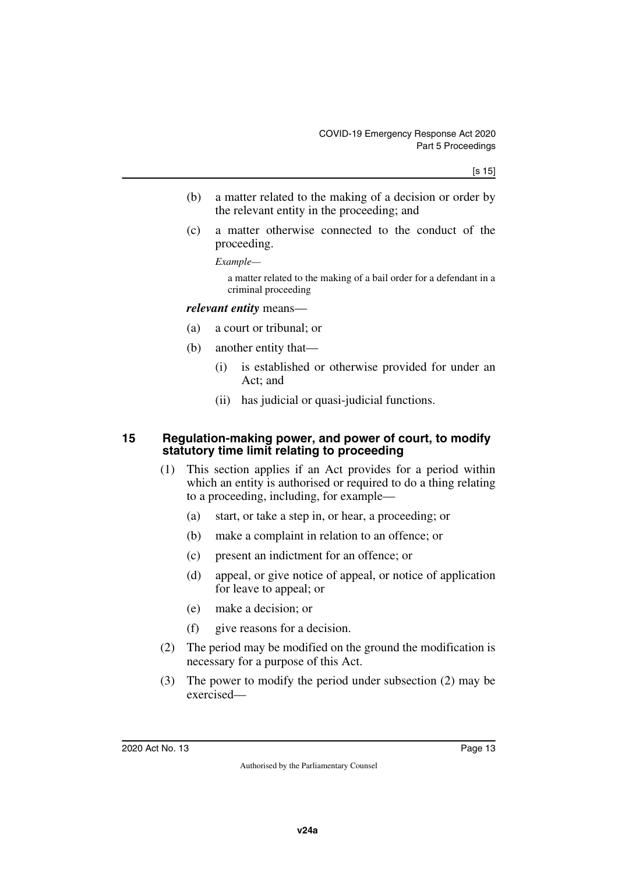- (b) a matter related to the making of a decision or order by the relevant entity in the proceeding; and
- (c) a matter otherwise connected to the conduct of the proceeding.

*Example—*

a matter related to the making of a bail order for a defendant in a criminal proceeding

#### *relevant entity* means—

- (a) a court or tribunal; or
- (b) another entity that—
	- (i) is established or otherwise provided for under an Act; and
	- (ii) has judicial or quasi-judicial functions.

#### <span id="page-14-0"></span>**15 Regulation-making power, and power of court, to modify statutory time limit relating to proceeding**

- <span id="page-14-1"></span>(1) This section applies if an Act provides for a period within which an entity is authorised or required to do a thing relating to a proceeding, including, for example—
	- (a) start, or take a step in, or hear, a proceeding; or
	- (b) make a complaint in relation to an offence; or
	- (c) present an indictment for an offence; or
	- (d) appeal, or give notice of appeal, or notice of application for leave to appeal; or
	- (e) make a decision; or
	- (f) give reasons for a decision.
- (2) The period may be modified on the ground the modification is necessary for a purpose of this Act.
- (3) The power to modify the period under subsection (2) may be exercised—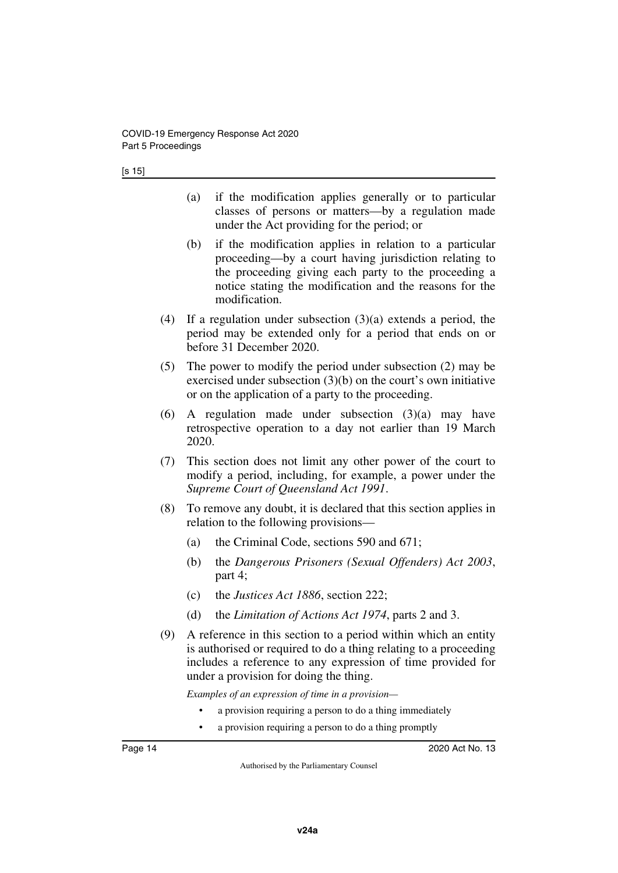- (a) if the modification applies generally or to particular classes of persons or matters—by a regulation made under the Act providing for the period; or
- (b) if the modification applies in relation to a particular proceeding—by a court having jurisdiction relating to the proceeding giving each party to the proceeding a notice stating the modification and the reasons for the modification.
- (4) If a regulation under subsection (3)(a) extends a period, the period may be extended only for a period that ends on or before 31 December 2020.
- (5) The power to modify the period under subsection (2) may be exercised under subsection (3)(b) on the court's own initiative or on the application of a party to the proceeding.
- (6) A regulation made under subsection  $(3)(a)$  may have retrospective operation to a day not earlier than 19 March 2020.
- (7) This section does not limit any other power of the court to modify a period, including, for example, a power under the *Supreme Court of Queensland Act 1991*.
- (8) To remove any doubt, it is declared that this section applies in relation to the following provisions—
	- (a) the Criminal Code, sections 590 and 671;
	- (b) the *Dangerous Prisoners (Sexual Offenders) Act 2003*, part 4;
	- (c) the *Justices Act 1886*, section 222;
	- (d) the *Limitation of Actions Act 1974*, parts 2 and 3.
- (9) A reference in this section to a period within which an entity is authorised or required to do a thing relating to a proceeding includes a reference to any expression of time provided for under a provision for doing the thing.

*Examples of an expression of time in a provision—*

- a provision requiring a person to do a thing immediately
- a provision requiring a person to do a thing promptly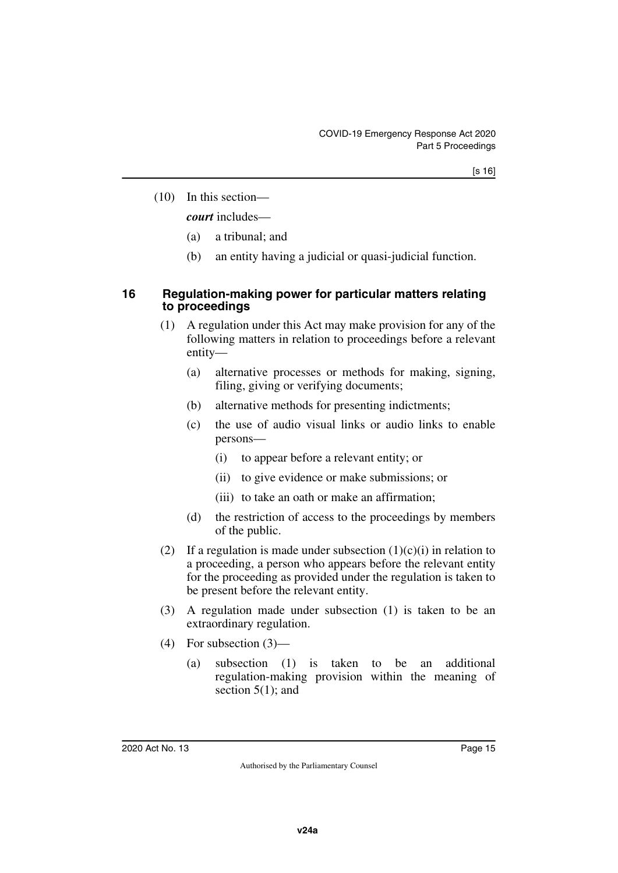(10) In this section—

*court* includes—

- (a) a tribunal; and
- <span id="page-16-1"></span>(b) an entity having a judicial or quasi-judicial function.

#### <span id="page-16-0"></span>**16 Regulation-making power for particular matters relating to proceedings**

- (1) A regulation under this Act may make provision for any of the following matters in relation to proceedings before a relevant entity—
	- (a) alternative processes or methods for making, signing, filing, giving or verifying documents;
	- (b) alternative methods for presenting indictments;
	- (c) the use of audio visual links or audio links to enable persons—
		- (i) to appear before a relevant entity; or
		- (ii) to give evidence or make submissions; or
		- (iii) to take an oath or make an affirmation;
	- (d) the restriction of access to the proceedings by members of the public.
- (2) If a regulation is made under subsection  $(1)(c)(i)$  in relation to a proceeding, a person who appears before the relevant entity for the proceeding as provided under the regulation is taken to be present before the relevant entity.
- (3) A regulation made under subsection (1) is taken to be an extraordinary regulation.
- (4) For subsection (3)—
	- (a) subsection (1) is taken to be an additional regulation-making provision within the meaning of section  $5(1)$ ; and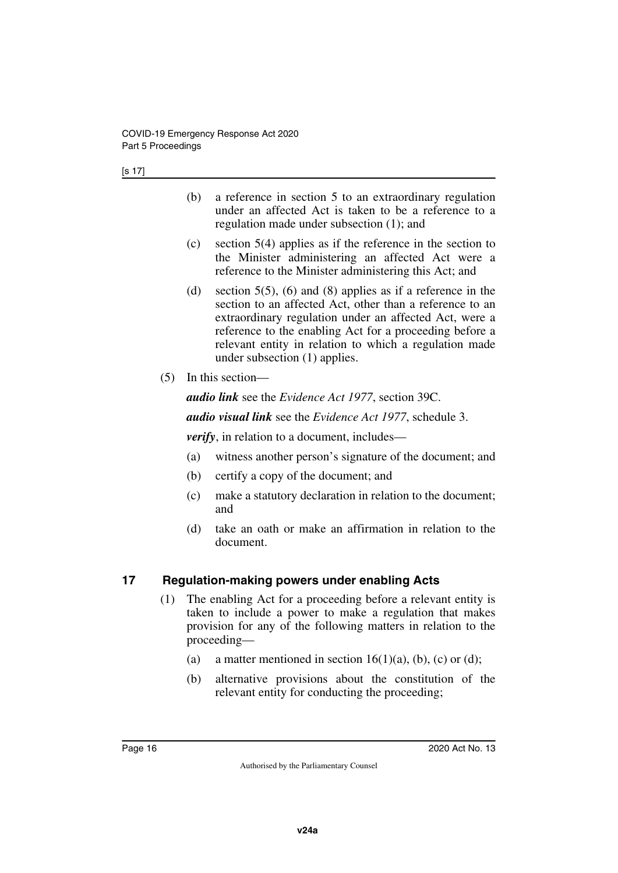- (b) a reference in section 5 to an extraordinary regulation under an affected Act is taken to be a reference to a regulation made under subsection (1); and
- (c) section 5(4) applies as if the reference in the section to the Minister administering an affected Act were a reference to the Minister administering this Act; and
- (d) section  $5(5)$ , (6) and (8) applies as if a reference in the section to an affected Act, other than a reference to an extraordinary regulation under an affected Act, were a reference to the enabling Act for a proceeding before a relevant entity in relation to which a regulation made under subsection (1) applies.
- (5) In this section—

*audio link* see the *Evidence Act 1977*, section 39C.

*audio visual link* see the *Evidence Act 1977*, schedule 3.

*verify*, in relation to a document, includes—

- (a) witness another person's signature of the document; and
- (b) certify a copy of the document; and
- (c) make a statutory declaration in relation to the document; and
- (d) take an oath or make an affirmation in relation to the document.

## <span id="page-17-0"></span>**17 Regulation-making powers under enabling Acts**

- <span id="page-17-1"></span>(1) The enabling Act for a proceeding before a relevant entity is taken to include a power to make a regulation that makes provision for any of the following matters in relation to the proceeding—
	- (a) a matter mentioned in section  $16(1)(a)$ , (b), (c) or (d);
	- (b) alternative provisions about the constitution of the relevant entity for conducting the proceeding;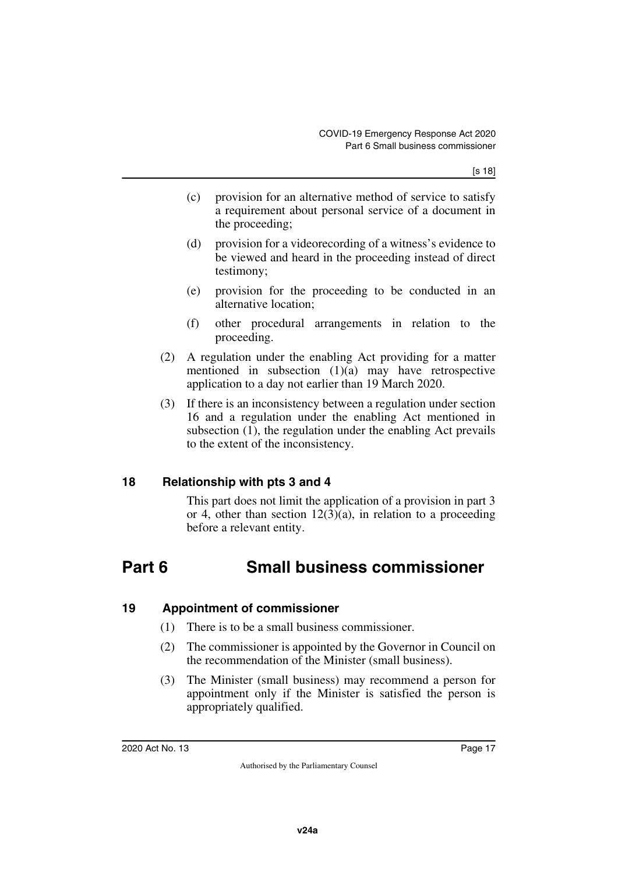- (c) provision for an alternative method of service to satisfy a requirement about personal service of a document in the proceeding;
- (d) provision for a videorecording of a witness's evidence to be viewed and heard in the proceeding instead of direct testimony;
- (e) provision for the proceeding to be conducted in an alternative location;
- (f) other procedural arrangements in relation to the proceeding.
- (2) A regulation under the enabling Act providing for a matter mentioned in subsection (1)(a) may have retrospective application to a day not earlier than 19 March 2020.
- (3) If there is an inconsistency between a regulation under section 16 and a regulation under the enabling Act mentioned in subsection (1), the regulation under the enabling Act prevails to the extent of the inconsistency.

## <span id="page-18-0"></span>**18 Relationship with pts 3 and 4**

<span id="page-18-3"></span><span id="page-18-1"></span>This part does not limit the application of a provision in part 3 or 4, other than section  $12(3)(a)$ , in relation to a proceeding before a relevant entity.

## <span id="page-18-2"></span>**Part 6 Small business commissioner**

## <span id="page-18-4"></span>**19 Appointment of commissioner**

- <span id="page-18-5"></span>(1) There is to be a small business commissioner.
- (2) The commissioner is appointed by the Governor in Council on the recommendation of the Minister (small business).
- (3) The Minister (small business) may recommend a person for appointment only if the Minister is satisfied the person is appropriately qualified.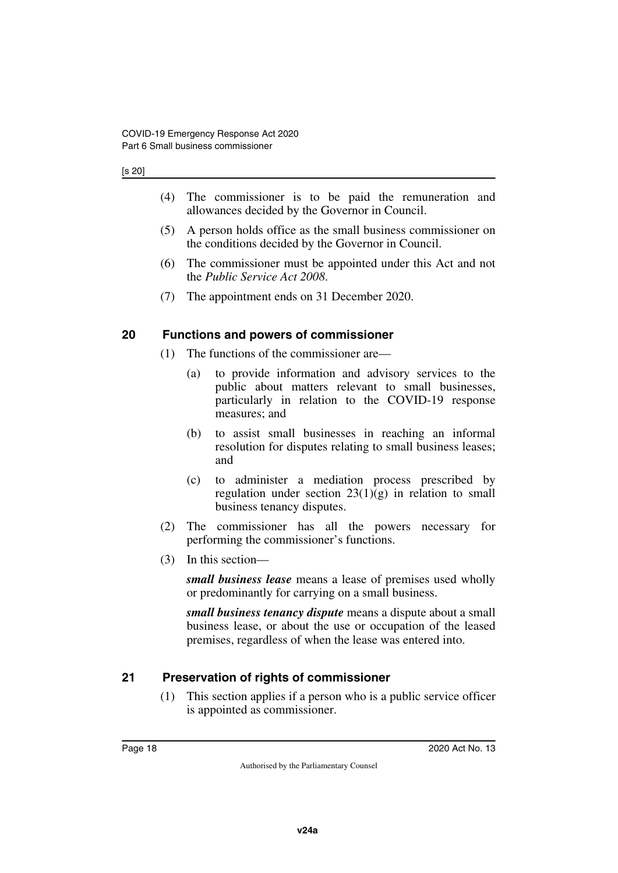#### [s 20]

- (4) The commissioner is to be paid the remuneration and allowances decided by the Governor in Council.
- (5) A person holds office as the small business commissioner on the conditions decided by the Governor in Council.
- (6) The commissioner must be appointed under this Act and not the *Public Service Act 2008*.
- <span id="page-19-1"></span>(7) The appointment ends on 31 December 2020.

#### <span id="page-19-0"></span>**20 Functions and powers of commissioner**

- (1) The functions of the commissioner are—
	- (a) to provide information and advisory services to the public about matters relevant to small businesses, particularly in relation to the COVID-19 response measures; and
	- (b) to assist small businesses in reaching an informal resolution for disputes relating to small business leases; and
	- (c) to administer a mediation process prescribed by regulation under section  $23(1)(g)$  in relation to small business tenancy disputes.
- (2) The commissioner has all the powers necessary for performing the commissioner's functions.
- (3) In this section—

*small business lease* means a lease of premises used wholly or predominantly for carrying on a small business.

*small business tenancy dispute* means a dispute about a small business lease, or about the use or occupation of the leased premises, regardless of when the lease was entered into.

#### <span id="page-19-2"></span>**21 Preservation of rights of commissioner**

<span id="page-19-3"></span>(1) This section applies if a person who is a public service officer is appointed as commissioner.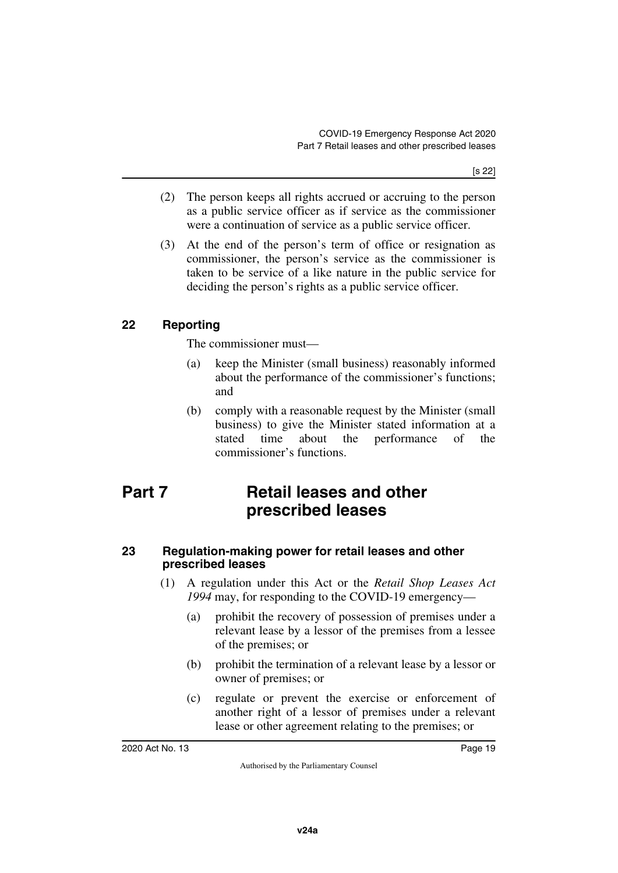- (2) The person keeps all rights accrued or accruing to the person as a public service officer as if service as the commissioner were a continuation of service as a public service officer.
- (3) At the end of the person's term of office or resignation as commissioner, the person's service as the commissioner is taken to be service of a like nature in the public service for deciding the person's rights as a public service officer.

## <span id="page-20-0"></span>**22 Reporting**

<span id="page-20-1"></span>The commissioner must—

- (a) keep the Minister (small business) reasonably informed about the performance of the commissioner's functions; and
- <span id="page-20-3"></span>(b) comply with a reasonable request by the Minister (small business) to give the Minister stated information at a stated time about the performance of the commissioner's functions.

## <span id="page-20-2"></span>**Part 7 Retail leases and other prescribed leases**

#### <span id="page-20-5"></span><span id="page-20-4"></span>**23 Regulation-making power for retail leases and other prescribed leases**

- (1) A regulation under this Act or the *Retail Shop Leases Act 1994* may, for responding to the COVID-19 emergency—
	- (a) prohibit the recovery of possession of premises under a relevant lease by a lessor of the premises from a lessee of the premises; or
	- (b) prohibit the termination of a relevant lease by a lessor or owner of premises; or
	- (c) regulate or prevent the exercise or enforcement of another right of a lessor of premises under a relevant lease or other agreement relating to the premises; or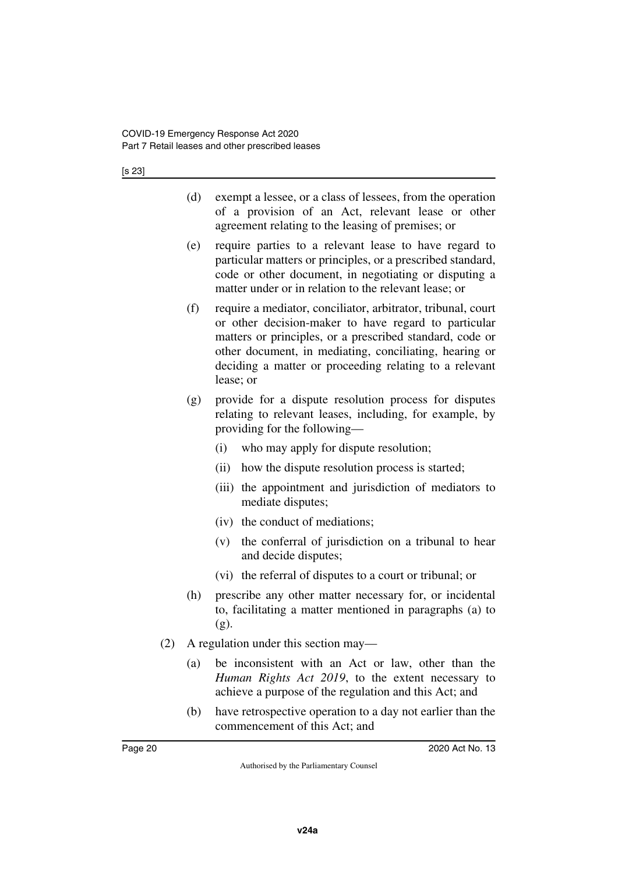[s 23]

- (d) exempt a lessee, or a class of lessees, from the operation of a provision of an Act, relevant lease or other agreement relating to the leasing of premises; or
- (e) require parties to a relevant lease to have regard to particular matters or principles, or a prescribed standard, code or other document, in negotiating or disputing a matter under or in relation to the relevant lease; or
- (f) require a mediator, conciliator, arbitrator, tribunal, court or other decision-maker to have regard to particular matters or principles, or a prescribed standard, code or other document, in mediating, conciliating, hearing or deciding a matter or proceeding relating to a relevant lease; or
- (g) provide for a dispute resolution process for disputes relating to relevant leases, including, for example, by providing for the following—
	- (i) who may apply for dispute resolution;
	- (ii) how the dispute resolution process is started;
	- (iii) the appointment and jurisdiction of mediators to mediate disputes;
	- (iv) the conduct of mediations;
	- (v) the conferral of jurisdiction on a tribunal to hear and decide disputes;
	- (vi) the referral of disputes to a court or tribunal; or
- (h) prescribe any other matter necessary for, or incidental to, facilitating a matter mentioned in paragraphs (a) to (g).
- (2) A regulation under this section may—
	- (a) be inconsistent with an Act or law, other than the *Human Rights Act 2019*, to the extent necessary to achieve a purpose of the regulation and this Act; and
	- (b) have retrospective operation to a day not earlier than the commencement of this Act; and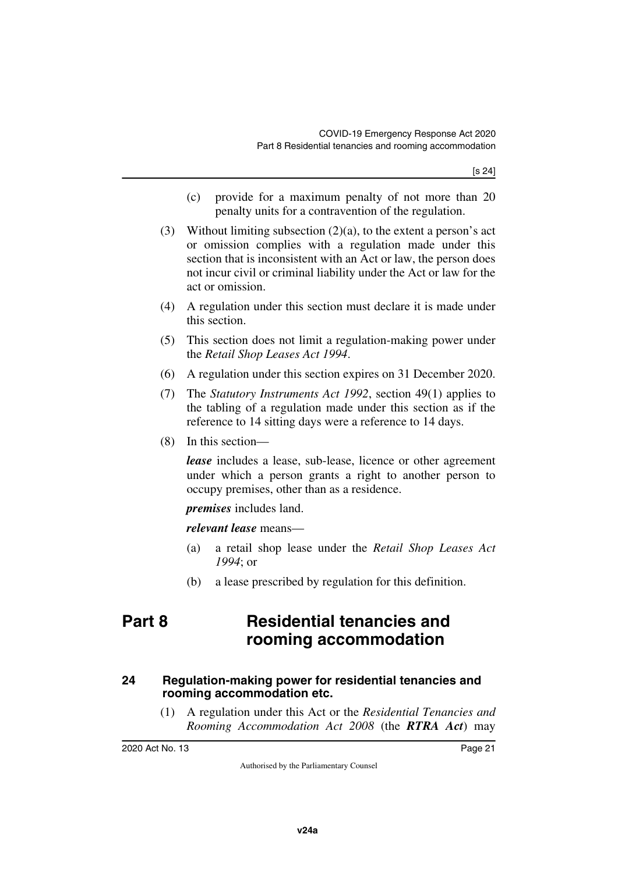- (c) provide for a maximum penalty of not more than 20 penalty units for a contravention of the regulation.
- (3) Without limiting subsection (2)(a), to the extent a person's act or omission complies with a regulation made under this section that is inconsistent with an Act or law, the person does not incur civil or criminal liability under the Act or law for the act or omission.
- (4) A regulation under this section must declare it is made under this section.
- (5) This section does not limit a regulation-making power under the *Retail Shop Leases Act 1994*.
- (6) A regulation under this section expires on 31 December 2020.
- (7) The *Statutory Instruments Act 1992*, section 49(1) applies to the tabling of a regulation made under this section as if the reference to 14 sitting days were a reference to 14 days.
- (8) In this section—

*lease* includes a lease, sub-lease, licence or other agreement under which a person grants a right to another person to occupy premises, other than as a residence.

*premises* includes land.

*relevant lease* means—

- (a) a retail shop lease under the *Retail Shop Leases Act 1994*; or
- <span id="page-22-1"></span>(b) a lease prescribed by regulation for this definition.

## <span id="page-22-0"></span>**Part 8 Residential tenancies and rooming accommodation**

#### <span id="page-22-3"></span><span id="page-22-2"></span>**24 Regulation-making power for residential tenancies and rooming accommodation etc.**

(1) A regulation under this Act or the *Residential Tenancies and Rooming Accommodation Act 2008* (the *RTRA Act*) may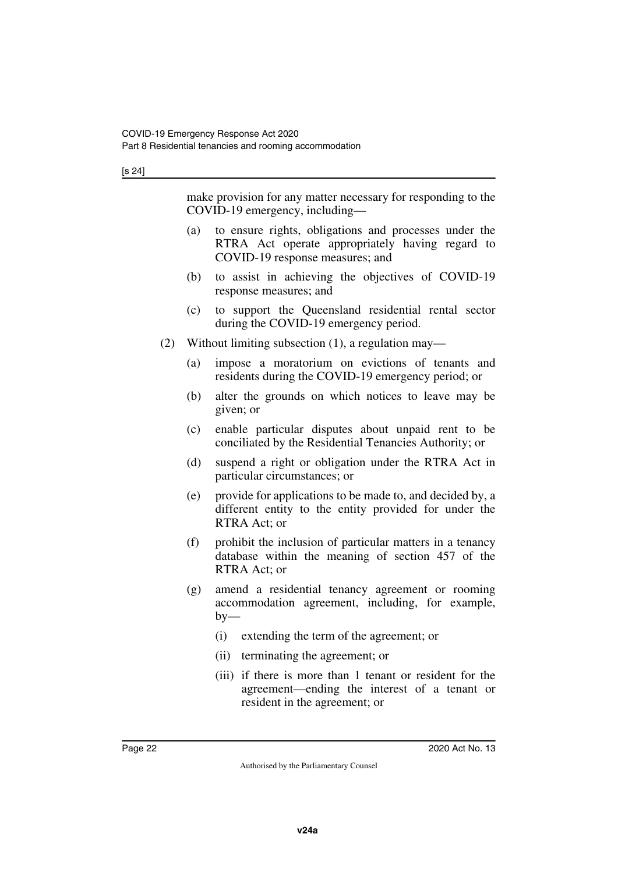#### [s 24]

|     |                                                       | make provision for any matter necessary for responding to the<br>COVID-19 emergency, including—                                             |  |
|-----|-------------------------------------------------------|---------------------------------------------------------------------------------------------------------------------------------------------|--|
|     | (a)                                                   | to ensure rights, obligations and processes under the<br>RTRA Act operate appropriately having regard to<br>COVID-19 response measures; and |  |
|     | (b)                                                   | to assist in achieving the objectives of COVID-19<br>response measures; and                                                                 |  |
|     | (c)                                                   | to support the Queensland residential rental sector<br>during the COVID-19 emergency period.                                                |  |
| (2) | Without limiting subsection $(1)$ , a regulation may— |                                                                                                                                             |  |
|     | (a)                                                   | impose a moratorium on evictions of tenants and<br>residents during the COVID-19 emergency period; or                                       |  |
|     | (b)                                                   | alter the grounds on which notices to leave may be<br>given; or                                                                             |  |
|     | (c)                                                   | enable particular disputes about unpaid rent to be<br>conciliated by the Residential Tenancies Authority; or                                |  |
|     | (d)                                                   | suspend a right or obligation under the RTRA Act in<br>particular circumstances; or                                                         |  |
|     | (e)                                                   | provide for applications to be made to, and decided by, a<br>different entity to the entity provided for under the<br>RTRA Act; or          |  |
|     | (f)                                                   | prohibit the inclusion of particular matters in a tenancy<br>database within the meaning of section 457 of the<br>RTRA Act; or              |  |
|     | (g)                                                   | amend a residential tenancy agreement or rooming<br>accommodation agreement, including, for example,<br>$by-$                               |  |
|     |                                                       | (i)<br>extending the term of the agreement; or                                                                                              |  |
|     |                                                       | (ii)<br>terminating the agreement; or                                                                                                       |  |
|     |                                                       | (iii) if there is more than 1 tenant or resident for the<br>agreement—ending the interest of a tenant or                                    |  |

resident in the agreement; or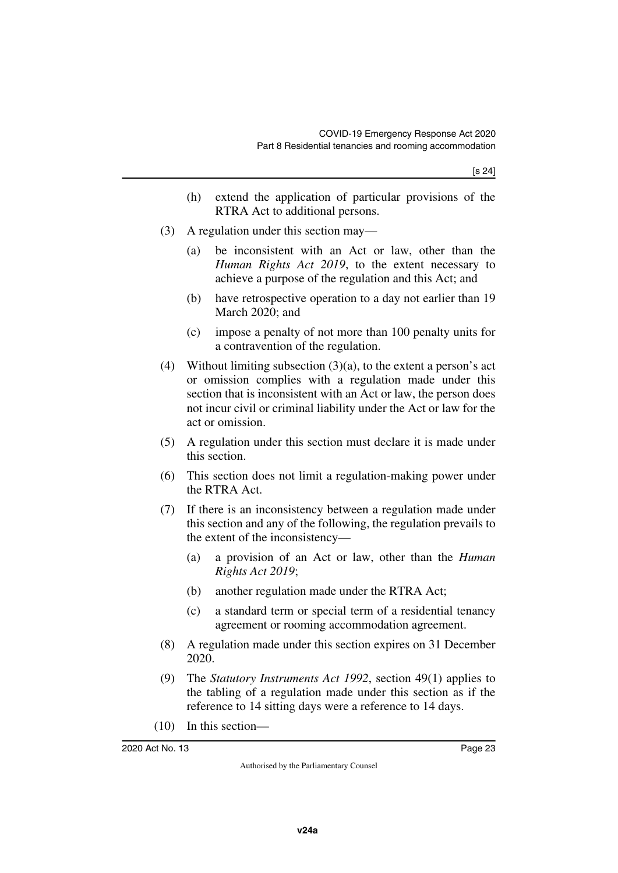- (h) extend the application of particular provisions of the RTRA Act to additional persons.
- (3) A regulation under this section may—
	- (a) be inconsistent with an Act or law, other than the *Human Rights Act 2019*, to the extent necessary to achieve a purpose of the regulation and this Act; and
	- (b) have retrospective operation to a day not earlier than 19 March 2020; and
	- (c) impose a penalty of not more than 100 penalty units for a contravention of the regulation.
- (4) Without limiting subsection  $(3)(a)$ , to the extent a person's act or omission complies with a regulation made under this section that is inconsistent with an Act or law, the person does not incur civil or criminal liability under the Act or law for the act or omission.
- (5) A regulation under this section must declare it is made under this section.
- (6) This section does not limit a regulation-making power under the RTRA Act.
- (7) If there is an inconsistency between a regulation made under this section and any of the following, the regulation prevails to the extent of the inconsistency—
	- (a) a provision of an Act or law, other than the *Human Rights Act 2019*;
	- (b) another regulation made under the RTRA Act;
	- (c) a standard term or special term of a residential tenancy agreement or rooming accommodation agreement.
- (8) A regulation made under this section expires on 31 December 2020.
- (9) The *Statutory Instruments Act 1992*, section 49(1) applies to the tabling of a regulation made under this section as if the reference to 14 sitting days were a reference to 14 days.
- (10) In this section—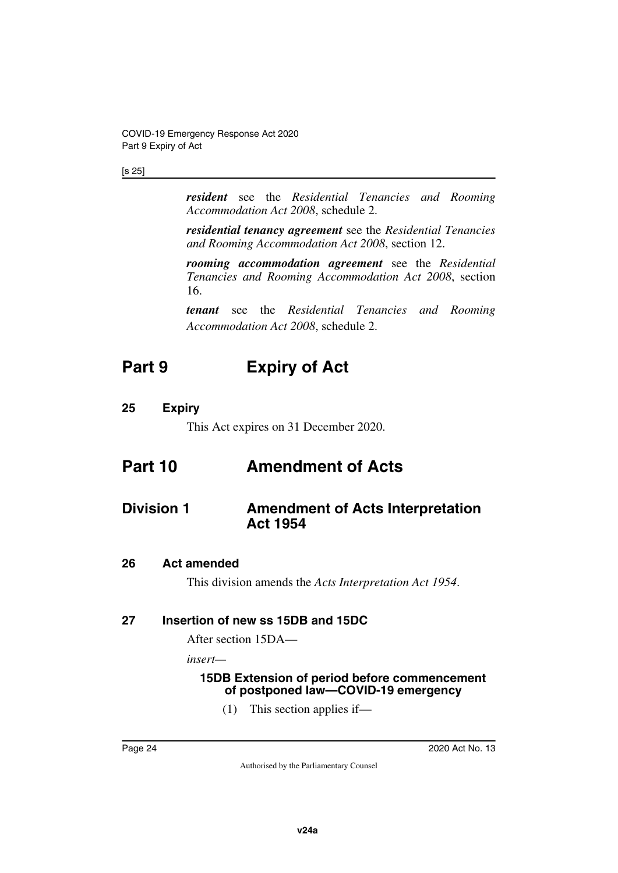#### [s 25]

*resident* see the *Residential Tenancies and Rooming Accommodation Act 2008*, schedule 2.

*residential tenancy agreement* see the *Residential Tenancies and Rooming Accommodation Act 2008*, section 12.

*rooming accommodation agreement* see the *Residential Tenancies and Rooming Accommodation Act 2008*, section 16.

<span id="page-25-1"></span>*tenant* see the *Residential Tenancies and Rooming Accommodation Act 2008*, schedule 2.

## <span id="page-25-0"></span>**Part 9 Expiry of Act**

## <span id="page-25-2"></span>**25 Expiry**

<span id="page-25-7"></span><span id="page-25-5"></span><span id="page-25-3"></span>This Act expires on 31 December 2020.

## <span id="page-25-4"></span>**Part 10 Amendment of Acts**

## <span id="page-25-6"></span>**Division 1 Amendment of Acts Interpretation Act 1954**

#### <span id="page-25-8"></span>**26 Act amended**

<span id="page-25-11"></span><span id="page-25-9"></span>This division amends the *Acts Interpretation Act 1954*.

#### <span id="page-25-10"></span>**27 Insertion of new ss 15DB and 15DC**

After section 15DA—

*insert—*

#### <span id="page-25-13"></span><span id="page-25-12"></span>**15DB Extension of period before commencement of postponed law—COVID-19 emergency**

(1) This section applies if—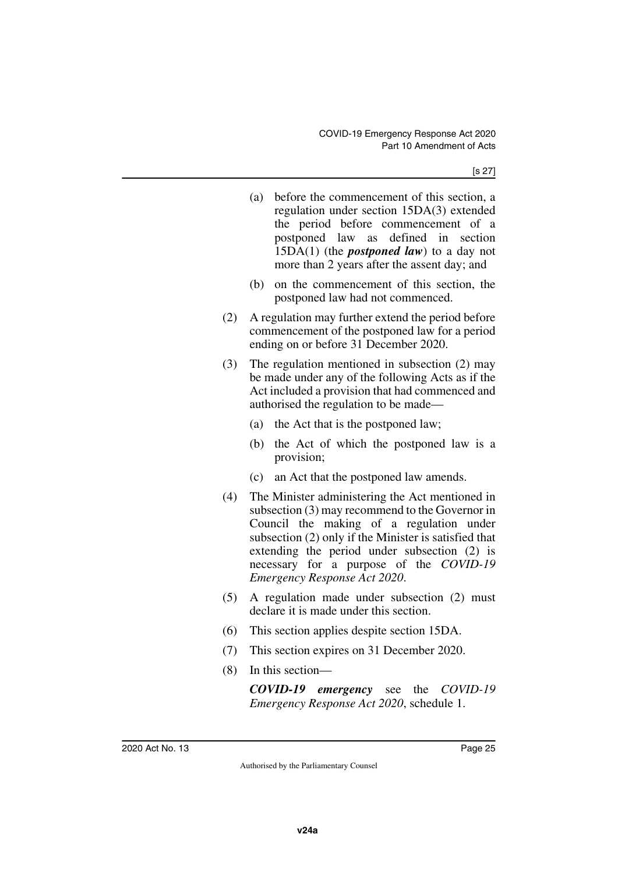- (a) before the commencement of this section, a regulation under section 15DA(3) extended the period before commencement of a postponed law as defined in section 15DA(1) (the *postponed law*) to a day not more than 2 years after the assent day; and
- (b) on the commencement of this section, the postponed law had not commenced.
- (2) A regulation may further extend the period before commencement of the postponed law for a period ending on or before 31 December 2020.
- (3) The regulation mentioned in subsection (2) may be made under any of the following Acts as if the Act included a provision that had commenced and authorised the regulation to be made—
	- (a) the Act that is the postponed law;
	- (b) the Act of which the postponed law is a provision;
	- (c) an Act that the postponed law amends.
- (4) The Minister administering the Act mentioned in subsection (3) may recommend to the Governor in Council the making of a regulation under subsection (2) only if the Minister is satisfied that extending the period under subsection (2) is necessary for a purpose of the *COVID-19 Emergency Response Act 2020*.
- (5) A regulation made under subsection (2) must declare it is made under this section.
- (6) This section applies despite section 15DA.
- (7) This section expires on 31 December 2020.
- (8) In this section—

*COVID-19 emergency* see the *COVID-19 Emergency Response Act 2020*, schedule 1.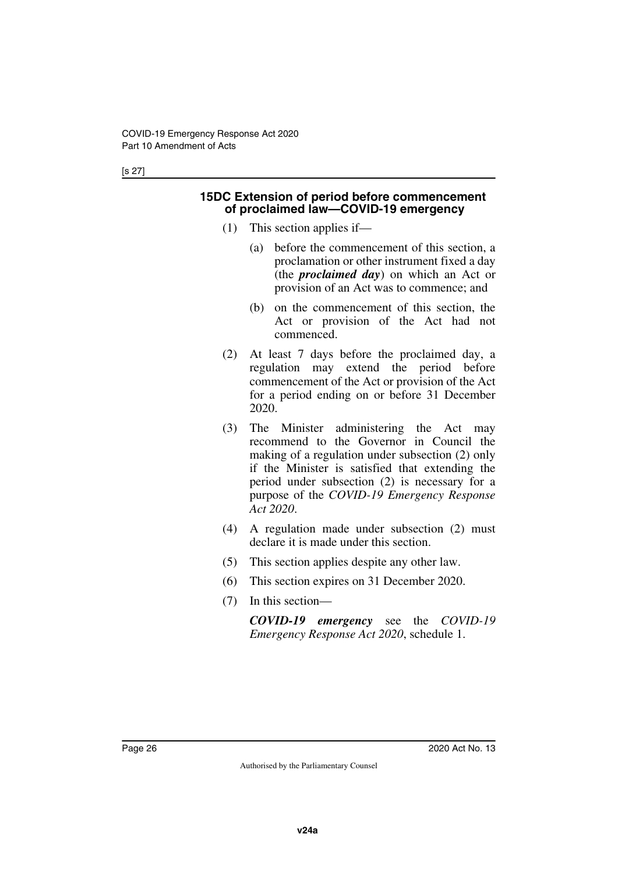#### <span id="page-27-1"></span><span id="page-27-0"></span>**15DC Extension of period before commencement of proclaimed law—COVID-19 emergency**

- (1) This section applies if—
	- (a) before the commencement of this section, a proclamation or other instrument fixed a day (the *proclaimed day*) on which an Act or provision of an Act was to commence; and
	- (b) on the commencement of this section, the Act or provision of the Act had not commenced.
- (2) At least 7 days before the proclaimed day, a regulation may extend the period before commencement of the Act or provision of the Act for a period ending on or before 31 December 2020.
- (3) The Minister administering the Act may recommend to the Governor in Council the making of a regulation under subsection (2) only if the Minister is satisfied that extending the period under subsection (2) is necessary for a purpose of the *COVID-19 Emergency Response Act 2020*.
- (4) A regulation made under subsection (2) must declare it is made under this section.
- (5) This section applies despite any other law.
- (6) This section expires on 31 December 2020.
- (7) In this section—

*COVID-19 emergency* see the *COVID-19 Emergency Response Act 2020*, schedule 1.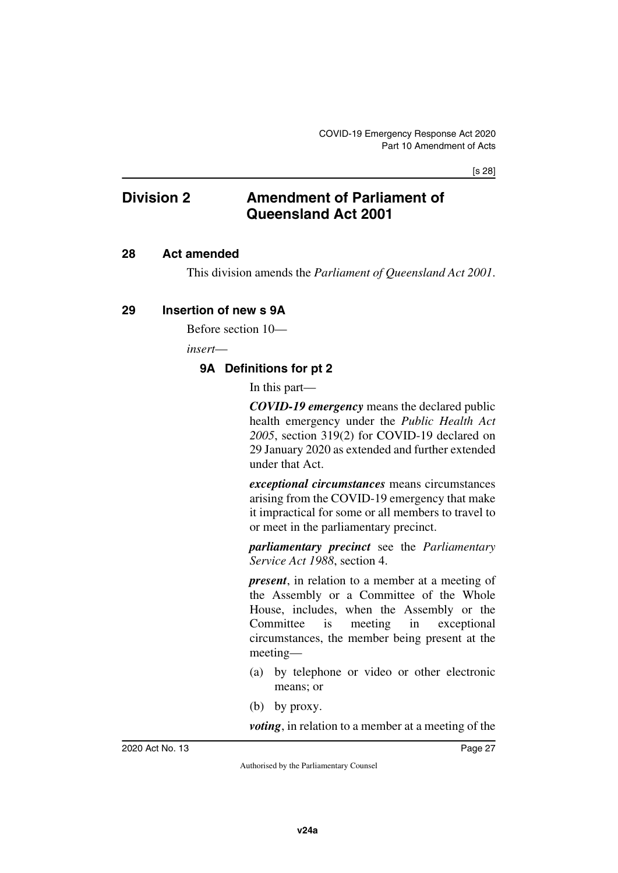#### [s 28]

## <span id="page-28-0"></span>**Division 2 Amendment of Parliament of Queensland Act 2001**

#### <span id="page-28-2"></span>**28 Act amended**

<span id="page-28-5"></span><span id="page-28-3"></span><span id="page-28-1"></span>This division amends the *Parliament of Queensland Act 2001*.

#### <span id="page-28-4"></span>**29 Insertion of new s 9A**

Before section 10—

*insert*—

### <span id="page-28-7"></span><span id="page-28-6"></span>**9A Definitions for pt 2**

In this part—

*COVID-19 emergency* means the declared public health emergency under the *Public Health Act 2005*, section 319(2) for COVID-19 declared on 29 January 2020 as extended and further extended under that Act.

*exceptional circumstances* means circumstances arising from the COVID-19 emergency that make it impractical for some or all members to travel to or meet in the parliamentary precinct.

*parliamentary precinct* see the *Parliamentary Service Act 1988*, section 4.

*present*, in relation to a member at a meeting of the Assembly or a Committee of the Whole House, includes, when the Assembly or the Committee is meeting in exceptional circumstances, the member being present at the meeting—

- (a) by telephone or video or other electronic means; or
- (b) by proxy.

*voting*, in relation to a member at a meeting of the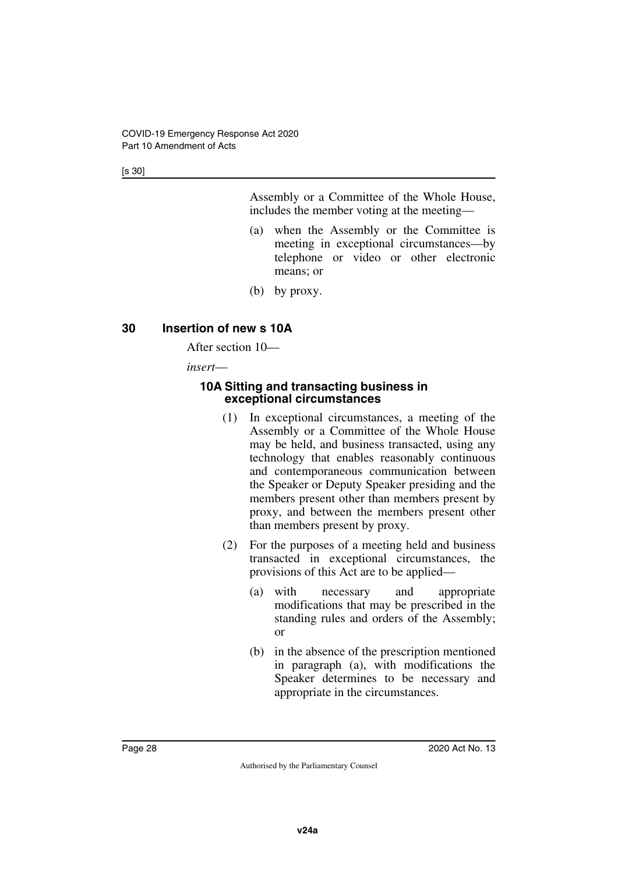[s 30]

Assembly or a Committee of the Whole House, includes the member voting at the meeting—

- (a) when the Assembly or the Committee is meeting in exceptional circumstances—by telephone or video or other electronic means; or
- (b) by proxy.

## <span id="page-29-0"></span>**30 Insertion of new s 10A**

<span id="page-29-1"></span>After section 10—

*insert*—

#### <span id="page-29-3"></span><span id="page-29-2"></span>**10A Sitting and transacting business in exceptional circumstances**

- (1) In exceptional circumstances, a meeting of the Assembly or a Committee of the Whole House may be held, and business transacted, using any technology that enables reasonably continuous and contemporaneous communication between the Speaker or Deputy Speaker presiding and the members present other than members present by proxy, and between the members present other than members present by proxy.
- (2) For the purposes of a meeting held and business transacted in exceptional circumstances, the provisions of this Act are to be applied—
	- (a) with necessary and appropriate modifications that may be prescribed in the standing rules and orders of the Assembly; or
	- (b) in the absence of the prescription mentioned in paragraph (a), with modifications the Speaker determines to be necessary and appropriate in the circumstances.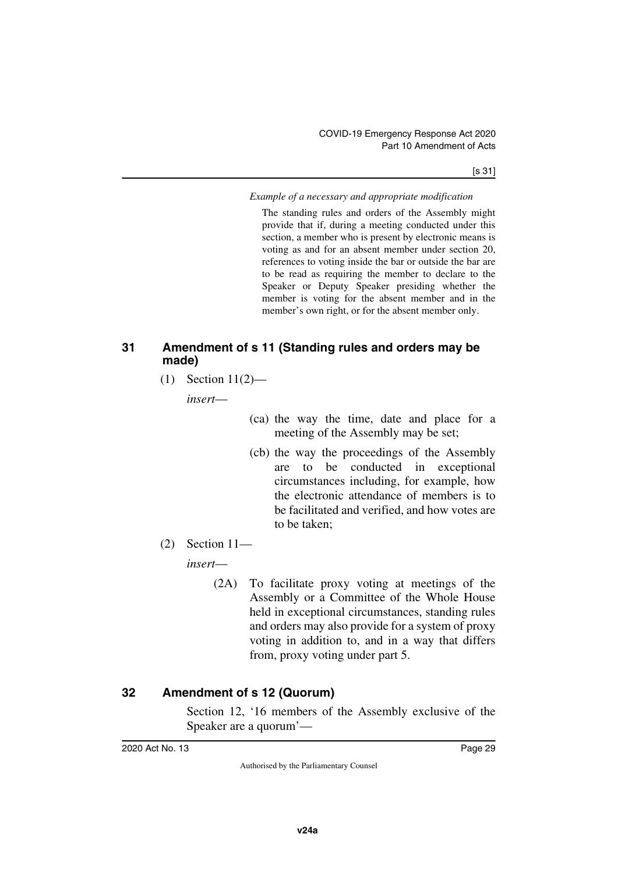#### *Example of a necessary and appropriate modification*

The standing rules and orders of the Assembly might provide that if, during a meeting conducted under this section, a member who is present by electronic means is voting as and for an absent member under section 20, references to voting inside the bar or outside the bar are to be read as requiring the member to declare to the Speaker or Deputy Speaker presiding whether the member is voting for the absent member and in the member's own right, or for the absent member only.

### <span id="page-30-1"></span><span id="page-30-0"></span>**31 Amendment of s 11 (Standing rules and orders may be made)**

(1) Section 11(2)—

*insert*—

- (ca) the way the time, date and place for a meeting of the Assembly may be set;
- (cb) the way the proceedings of the Assembly are to be conducted in exceptional circumstances including, for example, how the electronic attendance of members is to be facilitated and verified, and how votes are to be taken;
- (2) Section 11—

*insert*—

(2A) To facilitate proxy voting at meetings of the Assembly or a Committee of the Whole House held in exceptional circumstances, standing rules and orders may also provide for a system of proxy voting in addition to, and in a way that differs from, proxy voting under part 5.

## <span id="page-30-2"></span>**32 Amendment of s 12 (Quorum)**

<span id="page-30-3"></span>Section 12, '16 members of the Assembly exclusive of the Speaker are a quorum'—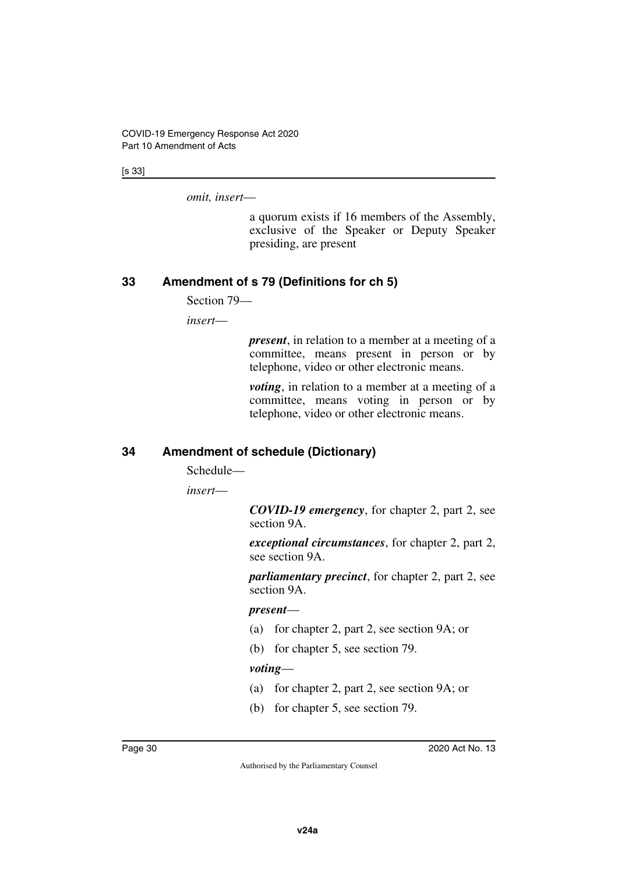[s 33]

*omit, insert*—

a quorum exists if 16 members of the Assembly, exclusive of the Speaker or Deputy Speaker presiding, are present

## <span id="page-31-0"></span>**33 Amendment of s 79 (Definitions for ch 5)**

<span id="page-31-1"></span>Section 79—

*insert*—

*present*, in relation to a member at a meeting of a committee, means present in person or by telephone, video or other electronic means.

*voting*, in relation to a member at a meeting of a committee, means voting in person or by telephone, video or other electronic means.

## <span id="page-31-2"></span>**34 Amendment of schedule (Dictionary)**

<span id="page-31-3"></span>Schedule—

*insert*—

*COVID-19 emergency*, for chapter 2, part 2, see section 9A.

*exceptional circumstances*, for chapter 2, part 2, see section 9A.

*parliamentary precinct*, for chapter 2, part 2, see section 9A.

#### *present*—

- (a) for chapter 2, part 2, see section 9A; or
- (b) for chapter 5, see section 79.

#### *voting*—

- (a) for chapter 2, part 2, see section 9A; or
- (b) for chapter 5, see section 79.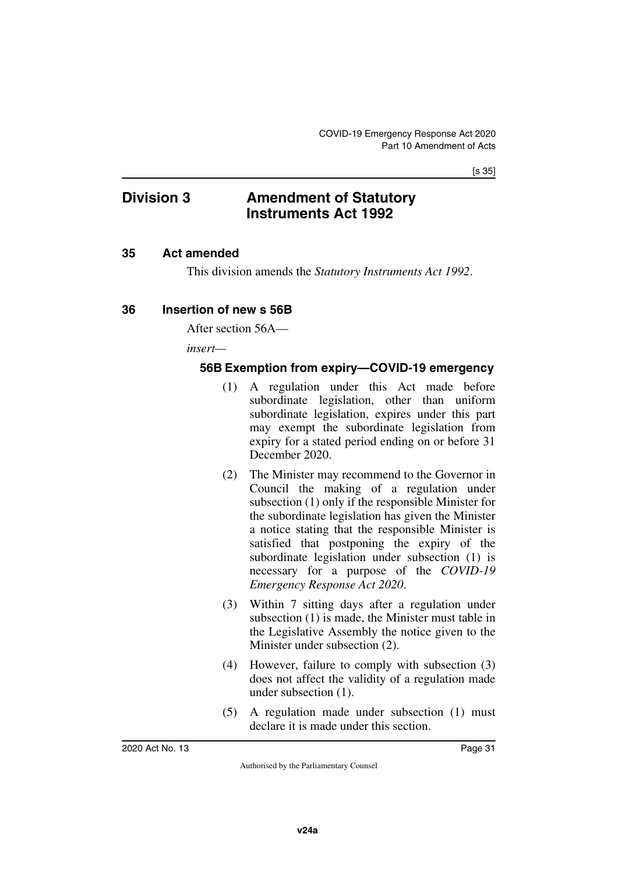#### [s 35]

## <span id="page-32-0"></span>**Division 3 Amendment of Statutory Instruments Act 1992**

#### <span id="page-32-2"></span>**35 Act amended**

<span id="page-32-5"></span><span id="page-32-3"></span><span id="page-32-1"></span>This division amends the *Statutory Instruments Act 1992*.

### <span id="page-32-4"></span>**36 Insertion of new s 56B**

After section 56A—

*insert—*

### <span id="page-32-7"></span><span id="page-32-6"></span>**56B Exemption from expiry—COVID-19 emergency**

- (1) A regulation under this Act made before subordinate legislation, other than uniform subordinate legislation, expires under this part may exempt the subordinate legislation from expiry for a stated period ending on or before 31 December 2020.
- (2) The Minister may recommend to the Governor in Council the making of a regulation under subsection (1) only if the responsible Minister for the subordinate legislation has given the Minister a notice stating that the responsible Minister is satisfied that postponing the expiry of the subordinate legislation under subsection (1) is necessary for a purpose of the *COVID-19 Emergency Response Act 2020*.
- (3) Within 7 sitting days after a regulation under subsection (1) is made, the Minister must table in the Legislative Assembly the notice given to the Minister under subsection (2).
- (4) However, failure to comply with subsection (3) does not affect the validity of a regulation made under subsection (1).
- (5) A regulation made under subsection (1) must declare it is made under this section.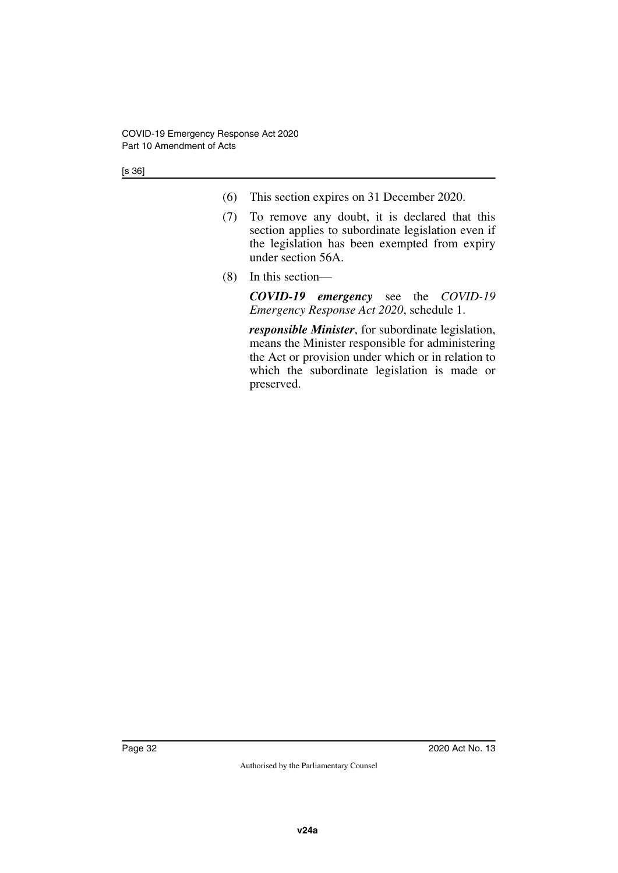[s 36]

- (6) This section expires on 31 December 2020.
- (7) To remove any doubt, it is declared that this section applies to subordinate legislation even if the legislation has been exempted from expiry under section 56A.
- (8) In this section—

*COVID-19 emergency* see the *COVID-19 Emergency Response Act 2020*, schedule 1.

*responsible Minister*, for subordinate legislation, means the Minister responsible for administering the Act or provision under which or in relation to which the subordinate legislation is made or preserved.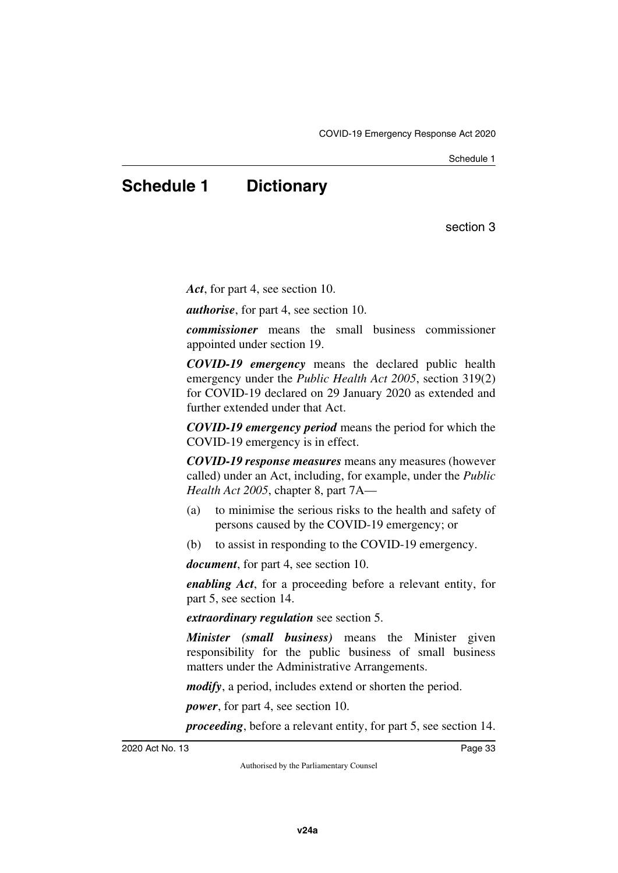Schedule 1

## <span id="page-34-1"></span><span id="page-34-0"></span>**Schedule 1 Dictionary**

section 3

*Act*, for part 4, see section 10.

*authorise*, for part 4, see section 10.

*commissioner* means the small business commissioner appointed under section 19.

*COVID-19 emergency* means the declared public health emergency under the *Public Health Act 2005*, section 319(2) for COVID-19 declared on 29 January 2020 as extended and further extended under that Act.

*COVID-19 emergency period* means the period for which the COVID-19 emergency is in effect.

*COVID-19 response measures* means any measures (however called) under an Act, including, for example, under the *Public Health Act 2005*, chapter 8, part 7A—

- (a) to minimise the serious risks to the health and safety of persons caused by the COVID-19 emergency; or
- (b) to assist in responding to the COVID-19 emergency.

*document*, for part 4, see section 10.

*enabling Act*, for a proceeding before a relevant entity, for part 5, see section 14.

*extraordinary regulation* see section 5.

*Minister (small business)* means the Minister given responsibility for the public business of small business matters under the Administrative Arrangements.

*modify*, a period, includes extend or shorten the period.

*power*, for part 4, see section 10.

*proceeding*, before a relevant entity, for part 5, see section 14.